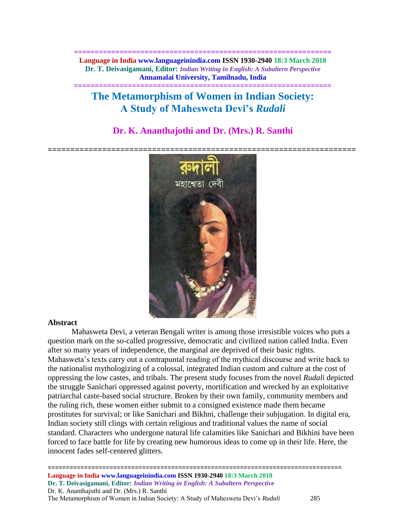**============================================================== Language in India www.languageinindia.com ISSN 1930-2940 18:3 March 2018 Dr. T. Deivasigamani, Editor:** *Indian Writing in English: A Subaltern Perspective* **Annamalai University, Tamilnadu, India**

**==============================================================**

# **The Metamorphism of Women in Indian Society: A Study of Mahesweta Devi's** *Rudali*

## **Dr. K. Ananthajothi and Dr. (Mrs.) R. Santhi**



#### **Abstract**

Mahasweta Devi, a veteran Bengali writer is among those irresistible voices who puts a question mark on the so-called progressive, democratic and civilized nation called India. Even after so many years of independence, the marginal are deprived of their basic rights. Mahasweta's texts carry out a contrapuntal reading of the mythical discourse and write back to the nationalist mythologizing of a colossal, integrated Indian custom and culture at the cost of oppressing the low castes, and tribals. The present study focuses from the novel *Rudali* depicted the struggle Sanichari oppressed against poverty, mortification and wrecked by an exploitative patriarchal caste-based social structure. Broken by their own family, community members and the ruling rich, these women either submit to a consigned existence made them became prostitutes for survival; or like Sanichari and Bikhni, challenge their subjugation. In digital era, Indian society still clings with certain religious and traditional values the name of social standard. Characters who undergone natural life calamities like Sanichari and Bikhini have been forced to face battle for life by creating new humorous ideas to come up in their life. Here, the innocent fades self-centered glitters.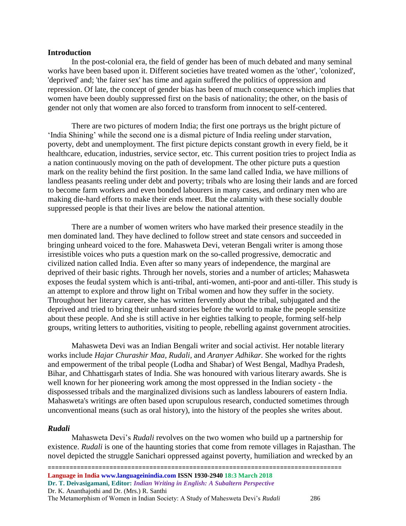### **Introduction**

In the post-colonial era, the field of gender has been of much debated and many seminal works have been based upon it. Different societies have treated women as the 'other', 'colonized', 'deprived' and; 'the fairer sex' has time and again suffered the politics of oppression and repression. Of late, the concept of gender bias has been of much consequence which implies that women have been doubly suppressed first on the basis of nationality; the other, on the basis of gender not only that women are also forced to transform from innocent to self-centered.

There are two pictures of modern India; the first one portrays us the bright picture of 'India Shining' while the second one is a dismal picture of India reeling under starvation, poverty, debt and unemployment. The first picture depicts constant growth in every field, be it healthcare, education, industries, service sector, etc. This current position tries to project India as a nation continuously moving on the path of development. The other picture puts a question mark on the reality behind the first position. In the same land called India, we have millions of landless peasants reeling under debt and poverty; tribals who are losing their lands and are forced to become farm workers and even bonded labourers in many cases, and ordinary men who are making die-hard efforts to make their ends meet. But the calamity with these socially double suppressed people is that their lives are below the national attention.

There are a number of women writers who have marked their presence steadily in the men dominated land. They have declined to follow street and state censors and succeeded in bringing unheard voiced to the fore. Mahasweta Devi, veteran Bengali writer is among those irresistible voices who puts a question mark on the so-called progressive, democratic and civilized nation called India. Even after so many years of independence, the marginal are deprived of their basic rights. Through her novels, stories and a number of articles; Mahasweta exposes the feudal system which is anti-tribal, anti-women, anti-poor and anti-tiller. This study is an attempt to explore and throw light on Tribal women and how they suffer in the society. Throughout her literary career, she has written fervently about the tribal, subjugated and the deprived and tried to bring their unheard stories before the world to make the people sensitize about these people. And she is still active in her eighties talking to people, forming self-help groups, writing letters to authorities, visiting to people, rebelling against government atrocities.

Mahasweta Devi was an Indian Bengali writer and social activist. Her notable literary works include *Hajar Churashir Maa, Rudali,* and *Aranyer Adhikar.* She worked for the rights and empowerment of the tribal people (Lodha and Shabar) of West Bengal, Madhya Pradesh, Bihar, and Chhattisgarh states of India. She was honoured with various literary awards. She is well known for her pioneering work among the most oppressed in the Indian society - the dispossessed tribals and the marginalized divisions such as landless labourers of eastern India. Mahasweta's writings are often based upon scrupulous research, conducted sometimes through unconventional means (such as oral history), into the history of the peoples she writes about.

#### *Rudali*

Mahasweta Devi's *Rudali* revolves on the two women who build up a partnership for existence. *Rudali* is one of the haunting stories that come from remote villages in Rajasthan. The novel depicted the struggle Sanichari oppressed against poverty, humiliation and wrecked by an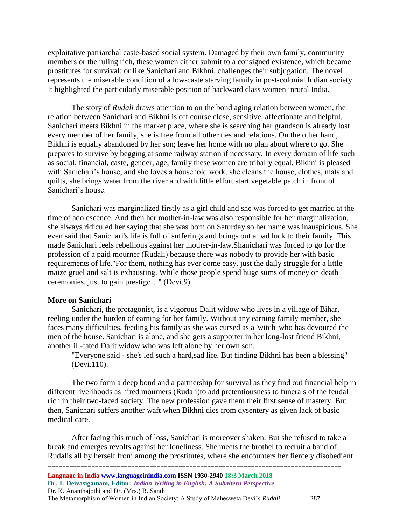exploitative patriarchal caste-based social system. Damaged by their own family, community members or the ruling rich, these women either submit to a consigned existence, which became prostitutes for survival; or like Sanichari and Bikhni, challenges their subjugation. The novel represents the miserable condition of a low-caste starving family in post-colonial Indian society. It highlighted the particularly miserable position of backward class women inrural India.

The story of *Rudali* draws attention to on the bond aging relation between women, the relation between Sanichari and Bikhni is off course close, sensitive, affectionate and helpful. Sanichari meets Bikhni in the market place, where she is searching her grandson is already lost every member of her family, she is free from all other ties and relations. On the other hand, Bikhni is equally abandoned by her son; leave her home with no plan about where to go. She prepares to survive by begging at some railway station if necessary. In every domain of life such as social, financial, caste, gender, age, family these women are tribally equal. Bikhni is pleased with Sanichari's house, and she loves a household work, she cleans the house, clothes, mats and quilts, she brings water from the river and with little effort start vegetable patch in front of Sanichari's house.

Sanichari was marginalized firstly as a girl child and she was forced to get married at the time of adolescence. And then her mother-in-law was also responsible for her marginalization, she always ridiculed her saying that she was born on Saturday so her name was inauspicious. She even said that Sanichari's life is full of sufferings and brings out a bad luck to their family. This made Sanichari feels rebellious against her mother-in-law.Shanichari was forced to go for the profession of a paid mourner (Rudali) because there was nobody to provide her with basic requirements of life."For them, nothing has ever come easy. just the daily struggle for a little maize gruel and salt is exhausting. While those people spend huge sums of money on death ceremonies, just to gain prestige…" (Devi.9)

### **More on Sanichari**

Sanichari, the protagonist, is a vigorous Dalit widow who lives in a village of Bihar, reeling under the burden of earning for her family. Without any earning family member, she faces many difficulties, feeding his family as she was cursed as a 'witch' who has devoured the men of the house. Sanichari is alone, and she gets a supporter in her long-lost friend Bikhni, another ill-fated Dalit widow who was left alone by her own son.

"Everyone said - she's led such a hard,sad life. But finding Bikhni has been a blessing" (Devi.110).

The two form a deep bond and a partnership for survival as they find out financial help in different livelihoods as hired mourners (Rudali)to add pretentiousness to funerals of the feudal rich in their two-faced society. The new profession gave them their first sense of mastery. But then, Sanichari suffers another waft when Bikhni dies from dysentery as given lack of basic medical care.

After facing this much of loss, Sanichari is moreover shaken. But she refused to take a break and emerges revolts against her loneliness. She meets the brothel to recruit a band of Rudalis all by herself from among the prostitutes, where she encounters her fiercely disobedient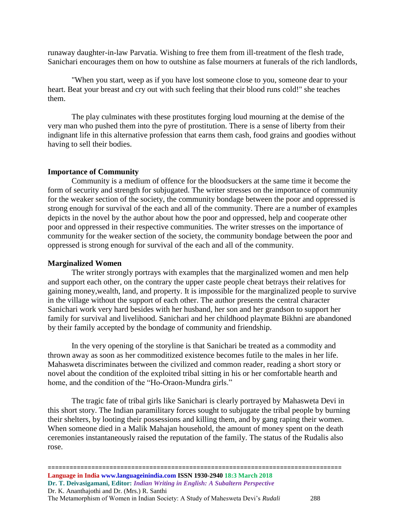runaway daughter-in-law Parvatia. Wishing to free them from ill-treatment of the flesh trade, Sanichari encourages them on how to outshine as false mourners at funerals of the rich landlords,

"When you start, weep as if you have lost someone close to you, someone dear to your heart. Beat your breast and cry out with such feeling that their blood runs cold!" she teaches them.

The play culminates with these prostitutes forging loud mourning at the demise of the very man who pushed them into the pyre of prostitution. There is a sense of liberty from their indignant life in this alternative profession that earns them cash, food grains and goodies without having to sell their bodies.

#### **Importance of Community**

Community is a medium of offence for the bloodsuckers at the same time it become the form of security and strength for subjugated. The writer stresses on the importance of community for the weaker section of the society, the community bondage between the poor and oppressed is strong enough for survival of the each and all of the community. There are a number of examples depicts in the novel by the author about how the poor and oppressed, help and cooperate other poor and oppressed in their respective communities. The writer stresses on the importance of community for the weaker section of the society, the community bondage between the poor and oppressed is strong enough for survival of the each and all of the community.

#### **Marginalized Women**

The writer strongly portrays with examples that the marginalized women and men help and support each other, on the contrary the upper caste people cheat betrays their relatives for gaining money,wealth, land, and property. It is impossible for the marginalized people to survive in the village without the support of each other. The author presents the central character Sanichari work very hard besides with her husband, her son and her grandson to support her family for survival and livelihood. Sanichari and her childhood playmate Bikhni are abandoned by their family accepted by the bondage of community and friendship.

In the very opening of the storyline is that Sanichari be treated as a commodity and thrown away as soon as her commoditized existence becomes futile to the males in her life. Mahasweta discriminates between the civilized and common reader, reading a short story or novel about the condition of the exploited tribal sitting in his or her comfortable hearth and home, and the condition of the "Ho-Oraon-Mundra girls."

The tragic fate of tribal girls like Sanichari is clearly portrayed by Mahasweta Devi in this short story. The Indian paramilitary forces sought to subjugate the tribal people by burning their shelters, by looting their possessions and killing them, and by gang raping their women. When someone died in a Malik Mahajan household, the amount of money spent on the death ceremonies instantaneously raised the reputation of the family. The status of the Rudalis also rose.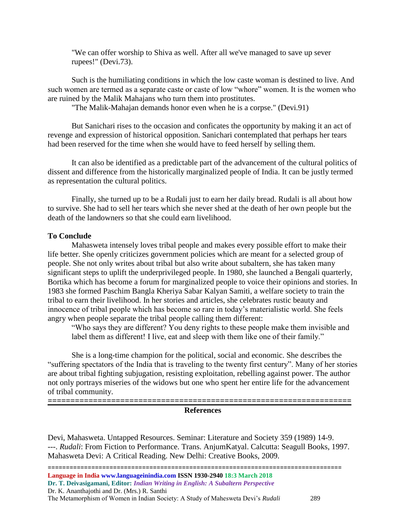"We can offer worship to Shiva as well. After all we've managed to save up sever rupees!" (Devi.73).

Such is the humiliating conditions in which the low caste woman is destined to live. And such women are termed as a separate caste or caste of low "whore" women. It is the women who are ruined by the Malik Mahajans who turn them into prostitutes.

"The Malik-Mahajan demands honor even when he is a corpse." (Devi.91)

But Sanichari rises to the occasion and conficates the opportunity by making it an act of revenge and expression of historical opposition. Sanichari contemplated that perhaps her tears had been reserved for the time when she would have to feed herself by selling them.

It can also be identified as a predictable part of the advancement of the cultural politics of dissent and difference from the historically marginalized people of India. It can be justly termed as representation the cultural politics.

Finally, she turned up to be a Rudali just to earn her daily bread. Rudali is all about how to survive. She had to sell her tears which she never shed at the death of her own people but the death of the landowners so that she could earn livelihood.

### **To Conclude**

Mahasweta intensely loves tribal people and makes every possible effort to make their life better. She openly criticizes government policies which are meant for a selected group of people. She not only writes about tribal but also write about subaltern, she has taken many significant steps to uplift the underprivileged people. In 1980, she launched a Bengali quarterly, Bortika which has become a forum for marginalized people to voice their opinions and stories. In 1983 she formed Paschim Bangla Kheriya Sabar Kalyan Samiti, a welfare society to train the tribal to earn their livelihood. In her stories and articles, she celebrates rustic beauty and innocence of tribal people which has become so rare in today's materialistic world. She feels angry when people separate the tribal people calling them different:

"Who says they are different? You deny rights to these people make them invisible and label them as different! I live, eat and sleep with them like one of their family."

She is a long-time champion for the political, social and economic. She describes the "suffering spectators of the India that is traveling to the twenty first century". Many of her stories are about tribal fighting subjugation, resisting exploitation, rebelling against power. The author not only portrays miseries of the widows but one who spent her entire life for the advancement of tribal community.

#### **References**

Devi, Mahasweta. Untapped Resources. Seminar: Literature and Society 359 (1989) 14-9. ---. *Rudali*: From Fiction to Performance. Trans. AnjumKatyal. Calcutta: Seagull Books, 1997. Mahasweta Devi: A Critical Reading. New Delhi: Creative Books, 2009.

================================================================================= **Language in India www.languageinindia.com ISSN 1930-2940 18:3 March 2018 Dr. T. Deivasigamani, Editor:** *Indian Writing in English: A Subaltern Perspective* Dr. K. Ananthajothi and Dr. (Mrs.) R. Santhi

The Metamorphism of Women in Indian Society: A Study of Mahesweta Devi's *Rudali* 289

**===================================================================**